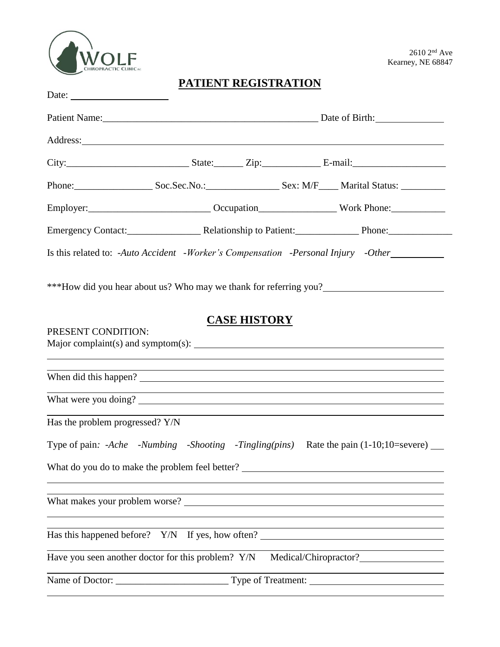

## **PATIENT REGISTRATION**

| Date: $\frac{1}{\sqrt{1-\frac{1}{2}}\sqrt{1-\frac{1}{2}}\sqrt{1-\frac{1}{2}}\sqrt{1-\frac{1}{2}}\sqrt{1-\frac{1}{2}}\sqrt{1-\frac{1}{2}}\sqrt{1-\frac{1}{2}}\sqrt{1-\frac{1}{2}}\sqrt{1-\frac{1}{2}}\sqrt{1-\frac{1}{2}}\sqrt{1-\frac{1}{2}}\sqrt{1-\frac{1}{2}}\sqrt{1-\frac{1}{2}}\sqrt{1-\frac{1}{2}}\sqrt{1-\frac{1}{2}}\sqrt{1-\frac{1}{2}}\sqrt{1-\frac{1}{2}}\sqrt{1-\frac{1}{2}}\sqrt{1-\frac{1}{2}}$ |                                                                                  |                     |  |  |                                                                                  |  |
|---------------------------------------------------------------------------------------------------------------------------------------------------------------------------------------------------------------------------------------------------------------------------------------------------------------------------------------------------------------------------------------------------------------|----------------------------------------------------------------------------------|---------------------|--|--|----------------------------------------------------------------------------------|--|
|                                                                                                                                                                                                                                                                                                                                                                                                               |                                                                                  |                     |  |  |                                                                                  |  |
| Address: <u>and the contract of the contract of the contract of the contract of the contract of the contract of the contract of the contract of the contract of the contract of the contract of the contract of the contract of </u>                                                                                                                                                                          |                                                                                  |                     |  |  |                                                                                  |  |
|                                                                                                                                                                                                                                                                                                                                                                                                               |                                                                                  |                     |  |  |                                                                                  |  |
| Phone: Soc.Sec.No.: Soc.Sec.No.: Sex: M/F Marital Status:                                                                                                                                                                                                                                                                                                                                                     |                                                                                  |                     |  |  |                                                                                  |  |
|                                                                                                                                                                                                                                                                                                                                                                                                               |                                                                                  |                     |  |  |                                                                                  |  |
| Emergency Contact: Relationship to Patient: Phone: Phone:                                                                                                                                                                                                                                                                                                                                                     |                                                                                  |                     |  |  |                                                                                  |  |
| Is this related to: -Auto Accident -Worker's Compensation -Personal Injury -Other                                                                                                                                                                                                                                                                                                                             |                                                                                  |                     |  |  |                                                                                  |  |
| ***How did you hear about us? Who may we thank for referring you?                                                                                                                                                                                                                                                                                                                                             |                                                                                  |                     |  |  |                                                                                  |  |
| PRESENT CONDITION:                                                                                                                                                                                                                                                                                                                                                                                            |                                                                                  | <b>CASE HISTORY</b> |  |  |                                                                                  |  |
| When did this happen?                                                                                                                                                                                                                                                                                                                                                                                         |                                                                                  |                     |  |  | <u> 1989 - Jan Salaman Salaman (j. 1989)</u>                                     |  |
|                                                                                                                                                                                                                                                                                                                                                                                                               | ,我们也不会有什么。""我们的人,我们也不会有什么?""我们的人,我们也不会有什么?""我们的人,我们也不会有什么?""我们的人,我们也不会有什么?""我们的人 |                     |  |  |                                                                                  |  |
| Has the problem progressed? Y/N                                                                                                                                                                                                                                                                                                                                                                               |                                                                                  |                     |  |  |                                                                                  |  |
| Type of pain: -Ache -Numbing -Shooting -Tingling(pins) Rate the pain (1-10;10=severe) __                                                                                                                                                                                                                                                                                                                      |                                                                                  |                     |  |  |                                                                                  |  |
| What do you do to make the problem feel better?                                                                                                                                                                                                                                                                                                                                                               |                                                                                  |                     |  |  |                                                                                  |  |
| What makes your problem worse?                                                                                                                                                                                                                                                                                                                                                                                |                                                                                  |                     |  |  | ,我们也不会有什么。""我们的人,我们也不会有什么?""我们的人,我们也不会有什么?""我们的人,我们也不会有什么?""我们的人,我们也不会有什么?""我们的人 |  |
| Has this happened before? Y/N If yes, how often?                                                                                                                                                                                                                                                                                                                                                              |                                                                                  |                     |  |  |                                                                                  |  |
| Have you seen another doctor for this problem? Y/N                                                                                                                                                                                                                                                                                                                                                            |                                                                                  |                     |  |  |                                                                                  |  |
|                                                                                                                                                                                                                                                                                                                                                                                                               |                                                                                  |                     |  |  |                                                                                  |  |